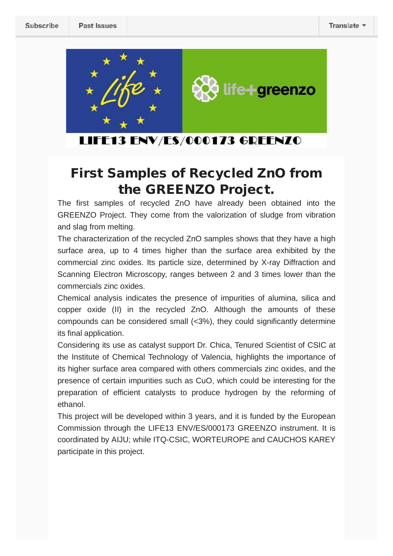

LIFE13 ENV/ES/000173 GREENZO

## **First Samples of Recycled ZnO from the GREENZO Project.**

The first samples of recycled ZnO have already been obtained into the GREENZO Project. They come from the valorization of sludge from vibration and slag from melting.

The characterization of the recycled ZnO samples shows that they have a high surface area, up to 4 times higher than the surface area exhibited by the commercial zinc oxides. Its particle size, determined by X-ray Diffraction and Scanning Electron Microscopy, ranges between 2 and 3 times lower than the commercials zinc oxides.

Chemical analysis indicates the presence of impurities of alumina, silica and copper oxide (II) in the recycled ZnO. Although the amounts of these compounds can be considered small (<3%), they could significantly determine its final application.

Considering its use as catalyst support Dr. Chica, Tenured Scientist of CSIC at the Institute of Chemical Technology of Valencia, highlights the importance of its higher surface area compared with others commercials zinc oxides, and the presence of certain impurities such as CuO, which could be interesting for the preparation of efficient catalysts to produce hydrogen by the reforming of ethanol.

This project will be developed within 3 years, and it is funded by the European Commission through the LIFE13 ENV/ES/000173 GREENZO instrument. It is coordinated by AIJU; while ITQ-CSIC, WORTEUROPE and CAUCHOS KAREY participate in this project.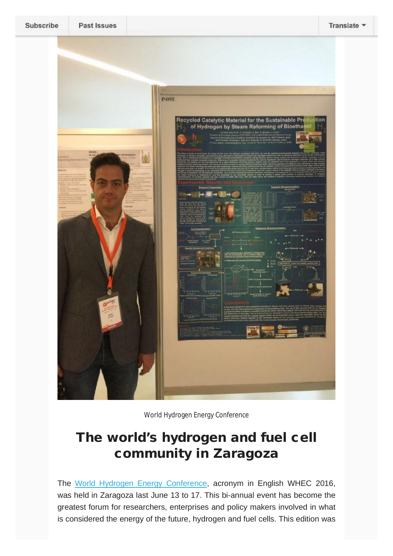

World Hydrogen Energy Conference

## **The world's hydrogen and fuel cell community in Zaragoza**

The World Hydrogen Energy Conference, acronym in English WHEC 2016, was held in Zaragoza last June 13 to 17. This bi-annual event has become the greatest forum for researchers, enterprises and policy makers involved in what is considered the energy of the future, hydrogen and fuel cells. This edition was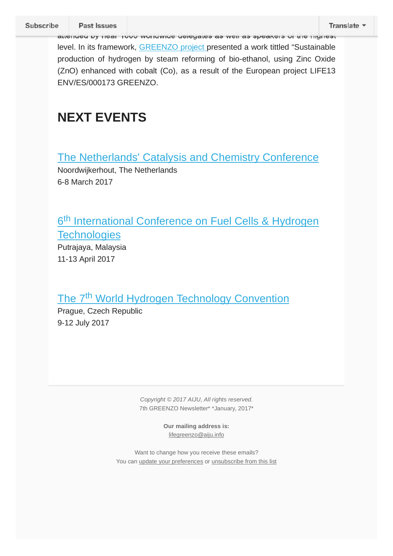attended by near 1000 worldwide delegates as well as speakers of the highest level. In its framework, GREENZO project presented a work tittled "Sustainable production of hydrogen by steam reforming of bio-ethanol, using Zinc Oxide (ZnO) enhanced with cobalt (Co), as a result of the European project LIFE13 ENV/ES/000173 GREENZO.

## **NEXT EVENTS**

The Netherlands' Catalysis and Chemistry Conference

Noordwijkerhout, The Netherlands 6-8 March 2017

6<sup>th</sup> International Conference on Fuel Cells & Hydrogen **Technologies** 

Putrajaya, Malaysia 11-13 April 2017

## The 7<sup>th</sup> World Hydrogen Technology Convention

Prague, Czech Republic 9-12 July 2017

> *Copyright © 2017 AIJU, All rights reserved.* 7th GREENZO Newsletter\* \*January, 2017\*

> > **Our mailing address is:** [lifegreenzo@aiju.info](mailto:lifegreenzo@aiju.info)

Want to change how you receive these emails? You can update your preferences or unsubscribe from this list